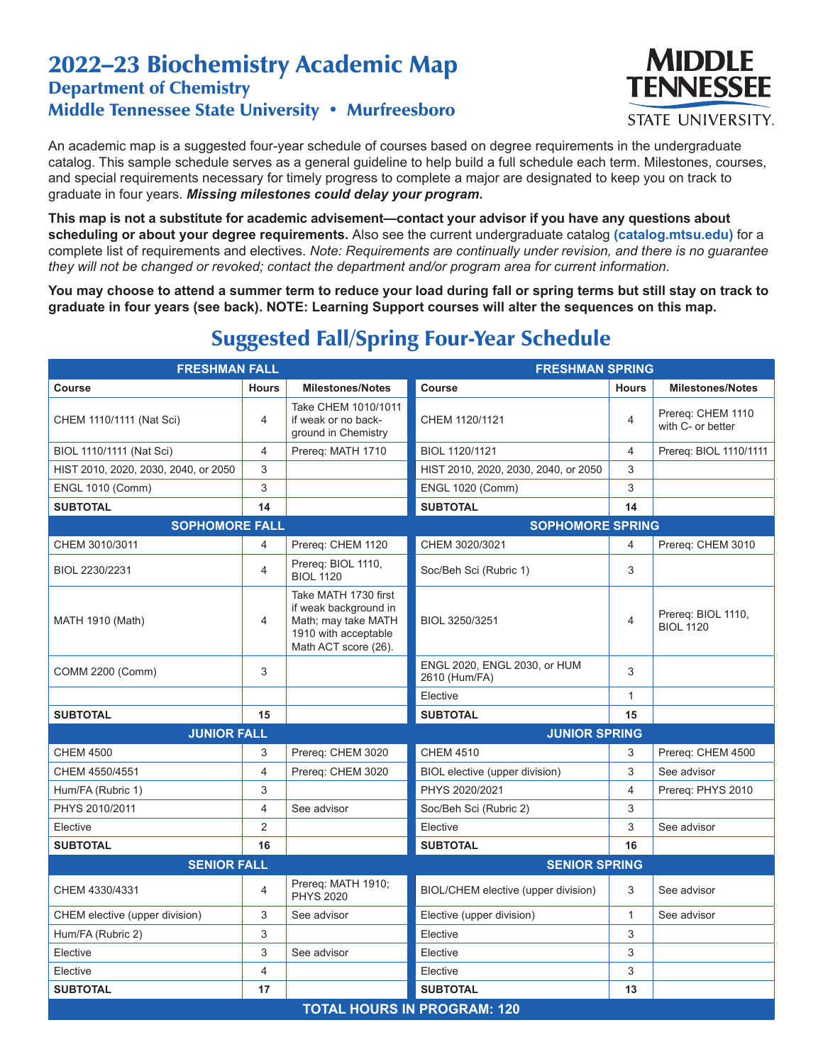## 2022–23 Biochemistry Academic Map Department of Chemistry Middle Tennessee State University • Murfreesboro



An academic map is a suggested four-year schedule of courses based on degree requirements in the undergraduate catalog. This sample schedule serves as a general guideline to help build a full schedule each term. Milestones, courses, and special requirements necessary for timely progress to complete a major are designated to keep you on track to graduate in four years. *Missing milestones could delay your program.*

**This map is not a substitute for academic advisement—contact your advisor if you have any questions about scheduling or about your degree requirements.** Also see the current undergraduate catalog **(catalog.mtsu.edu)** for a complete list of requirements and electives. *Note: Requirements are continually under revision, and there is no guarantee they will not be changed or revoked; contact the department and/or program area for current information.*

**You may choose to attend a summer term to reduce your load during fall or spring terms but still stay on track to graduate in four years (see back). NOTE: Learning Support courses will alter the sequences on this map.**

| <b>FRESHMAN FALL</b>                 |                                    | <b>FRESHMAN SPRING</b>                                                                                               |                                               |                |                                        |  |  |  |
|--------------------------------------|------------------------------------|----------------------------------------------------------------------------------------------------------------------|-----------------------------------------------|----------------|----------------------------------------|--|--|--|
| Course                               | <b>Hours</b>                       | <b>Milestones/Notes</b>                                                                                              | <b>Course</b>                                 | <b>Hours</b>   | <b>Milestones/Notes</b>                |  |  |  |
| CHEM 1110/1111 (Nat Sci)             | 4                                  | Take CHEM 1010/1011<br>if weak or no back-<br>ground in Chemistry                                                    | CHEM 1120/1121                                | 4              | Prereq: CHEM 1110<br>with C- or better |  |  |  |
| BIOL 1110/1111 (Nat Sci)             | $\overline{4}$                     | Prereq: MATH 1710                                                                                                    | BIOL 1120/1121                                | $\overline{4}$ | Prereq: BIOL 1110/1111                 |  |  |  |
| HIST 2010, 2020, 2030, 2040, or 2050 | 3                                  |                                                                                                                      | HIST 2010, 2020, 2030, 2040, or 2050          | 3              |                                        |  |  |  |
| <b>ENGL 1010 (Comm)</b>              | 3                                  |                                                                                                                      | <b>ENGL 1020 (Comm)</b>                       | 3              |                                        |  |  |  |
| <b>SUBTOTAL</b>                      | 14                                 |                                                                                                                      | <b>SUBTOTAL</b>                               | 14             |                                        |  |  |  |
| <b>SOPHOMORE FALL</b>                |                                    |                                                                                                                      | <b>SOPHOMORE SPRING</b>                       |                |                                        |  |  |  |
| CHEM 3010/3011                       | 4                                  | Prereq: CHEM 1120                                                                                                    | CHEM 3020/3021                                | 4              | Prereg: CHEM 3010                      |  |  |  |
| BIOL 2230/2231                       | $\overline{4}$                     | Prereq: BIOL 1110,<br><b>BIOL 1120</b>                                                                               | Soc/Beh Sci (Rubric 1)                        | 3              |                                        |  |  |  |
| <b>MATH 1910 (Math)</b>              | 4                                  | Take MATH 1730 first<br>if weak background in<br>Math; may take MATH<br>1910 with acceptable<br>Math ACT score (26). | BIOL 3250/3251                                | 4              | Prereq: BIOL 1110,<br><b>BIOL 1120</b> |  |  |  |
| COMM 2200 (Comm)                     | 3                                  |                                                                                                                      | ENGL 2020, ENGL 2030, or HUM<br>2610 (Hum/FA) | 3              |                                        |  |  |  |
|                                      |                                    |                                                                                                                      | Elective                                      | 1              |                                        |  |  |  |
| <b>SUBTOTAL</b>                      | 15                                 |                                                                                                                      | <b>SUBTOTAL</b>                               | 15             |                                        |  |  |  |
| <b>JUNIOR FALL</b>                   |                                    |                                                                                                                      | <b>JUNIOR SPRING</b>                          |                |                                        |  |  |  |
| <b>CHEM 4500</b>                     | 3                                  | Prereq: CHEM 3020                                                                                                    | <b>CHEM 4510</b>                              | 3              | Prereg: CHEM 4500                      |  |  |  |
| CHEM 4550/4551                       | 4                                  | Prereg: CHEM 3020                                                                                                    | BIOL elective (upper division)                | 3              | See advisor                            |  |  |  |
| Hum/FA (Rubric 1)                    | 3                                  |                                                                                                                      | PHYS 2020/2021                                | $\overline{4}$ | Prereq: PHYS 2010                      |  |  |  |
| PHYS 2010/2011                       | 4                                  | See advisor                                                                                                          | Soc/Beh Sci (Rubric 2)                        | 3              |                                        |  |  |  |
| Elective                             | $\overline{2}$                     |                                                                                                                      | Elective                                      | 3              | See advisor                            |  |  |  |
| <b>SUBTOTAL</b>                      | 16                                 |                                                                                                                      | <b>SUBTOTAL</b>                               | 16             |                                        |  |  |  |
| <b>SENIOR FALL</b>                   |                                    |                                                                                                                      | <b>SENIOR SPRING</b>                          |                |                                        |  |  |  |
| CHEM 4330/4331                       | 4                                  | Prereq: MATH 1910;<br><b>PHYS 2020</b>                                                                               | BIOL/CHEM elective (upper division)           | 3              | See advisor                            |  |  |  |
| CHEM elective (upper division)       | 3                                  | See advisor                                                                                                          | Elective (upper division)                     | $\mathbf{1}$   | See advisor                            |  |  |  |
| Hum/FA (Rubric 2)                    | 3                                  |                                                                                                                      | Elective                                      | 3              |                                        |  |  |  |
| Elective                             | 3                                  | See advisor                                                                                                          | Elective                                      | 3              |                                        |  |  |  |
| Elective                             | 4                                  |                                                                                                                      | Elective                                      | 3              |                                        |  |  |  |
| <b>SUBTOTAL</b>                      | 17                                 |                                                                                                                      | <b>SUBTOTAL</b>                               | 13             |                                        |  |  |  |
|                                      | <b>TOTAL HOURS IN PROGRAM: 120</b> |                                                                                                                      |                                               |                |                                        |  |  |  |

## Suggested Fall/Spring Four-Year Schedule